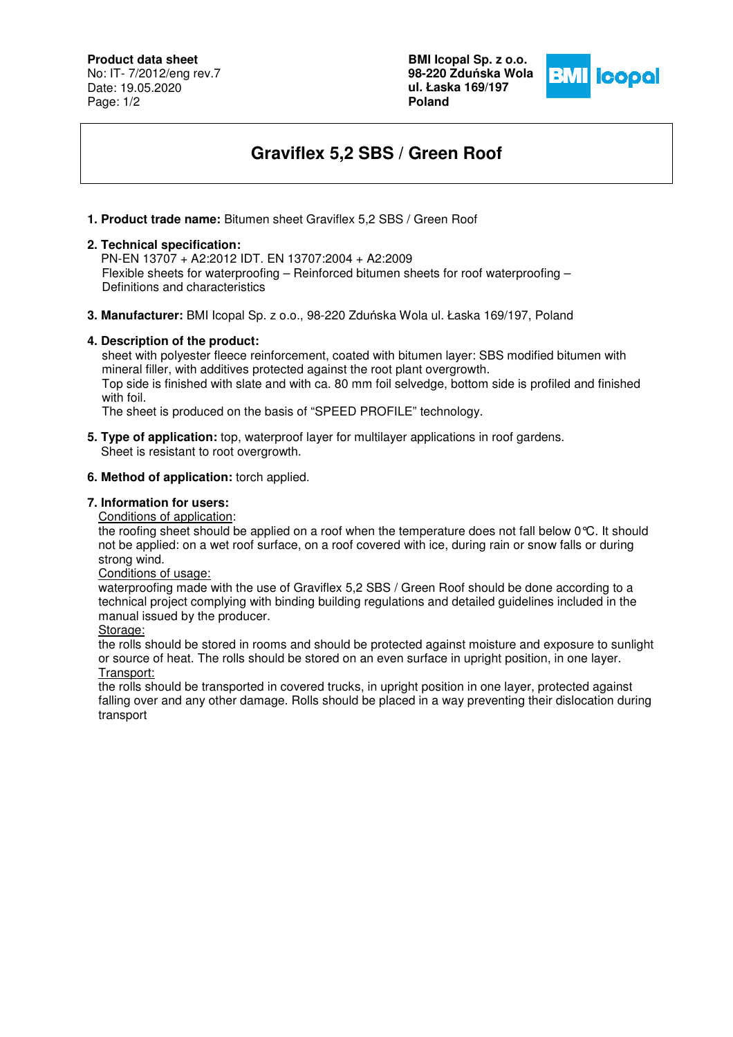**Product data sheet**

No: IT- 7/2012/eng rev.7 Date: 19.05.2020 Page: 1/2

**BMI Icopal Sp. z o.o. 98-220 Zdu**ń**ska Wola ul. Łaska 169/197 Poland** 



# **Graviflex 5,2 SBS / Green Roof**

**1. Product trade name:** Bitumen sheet Graviflex 5,2 SBS / Green Roof

#### **2. Technical specification:**

 PN-EN 13707 + A2:2012 IDT. EN 13707:2004 + A2:2009 Flexible sheets for waterproofing – Reinforced bitumen sheets for roof waterproofing – Definitions and characteristics

**3. Manufacturer:** BMI Icopal Sp. z o.o., 98-220 Zduńska Wola ul. Łaska 169/197, Poland

## **4. Description of the product:**

 sheet with polyester fleece reinforcement, coated with bitumen layer: SBS modified bitumen with mineral filler, with additives protected against the root plant overgrowth. Top side is finished with slate and with ca. 80 mm foil selvedge, bottom side is profiled and finished with foil.

The sheet is produced on the basis of "SPEED PROFILE" technology.

**5. Type of application:** top, waterproof layer for multilayer applications in roof gardens. Sheet is resistant to root overgrowth.

## **6. Method of application:** torch applied.

## **7. Information for users:**

Conditions of application:

the roofing sheet should be applied on a roof when the temperature does not fall below 0°C. It should not be applied: on a wet roof surface, on a roof covered with ice, during rain or snow falls or during strong wind.

Conditions of usage:

waterproofing made with the use of Graviflex 5,2 SBS / Green Roof should be done according to a technical project complying with binding building regulations and detailed guidelines included in the manual issued by the producer.

Storage:

the rolls should be stored in rooms and should be protected against moisture and exposure to sunlight or source of heat. The rolls should be stored on an even surface in upright position, in one layer. Transport:

the rolls should be transported in covered trucks, in upright position in one layer, protected against falling over and any other damage. Rolls should be placed in a way preventing their dislocation during transport